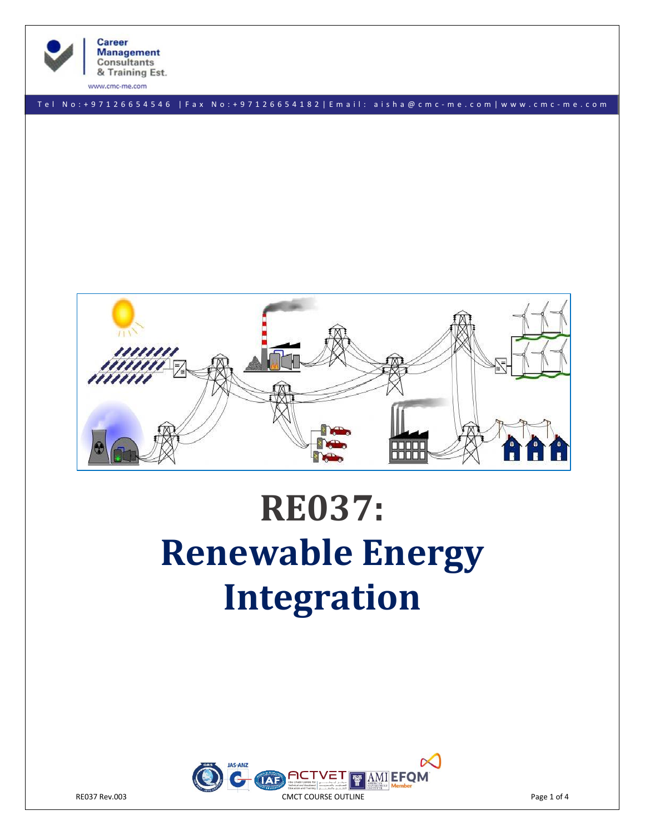

www.cmc-me.com

T e l N o : + 9 7 1 2 6 6 5 4 5 4 6 | F a x N o : + 9 7 1 2 6 6 5 4 1 8 2 | E m a i l : a i s h a @ c m c - m e . c o m | w w w . c m c - m e . c o m



# **RE037: Renewable Energy Integration**

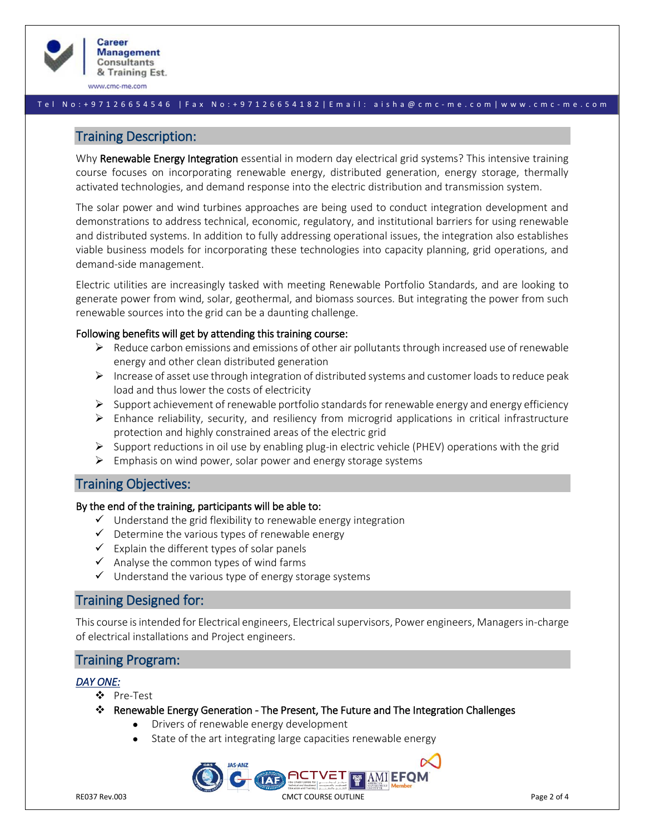

www.cmc-me.com

#### T e l N o : + 9 7 1 2 6 6 5 4 5 4 6 | F a x N o : + 9 7 1 2 6 6 5 4 1 8 2 | E m a i l : a i s h a @ c m c - m e . c o m | w w w . c m c - m e . c o m

# Training Description:

Why Renewable Energy Integration essential in modern day electrical grid systems? This intensive training course focuses on incorporating renewable energy, distributed generation, energy storage, thermally activated technologies, and demand response into the electric distribution and transmission system.

The solar power and wind turbines approaches are being used to conduct integration development and demonstrations to address technical, economic, regulatory, and institutional barriers for using renewable and distributed systems. In addition to fully addressing operational issues, the integration also establishes viable business models for incorporating these technologies into capacity planning, grid operations, and demand-side management.

Electric utilities are increasingly tasked with meeting Renewable Portfolio Standards, and are looking to generate power from wind, solar, geothermal, and biomass sources. But integrating the power from such renewable sources into the grid can be a daunting challenge.

## Following benefits will get by attending this training course:

- $\triangleright$  Reduce carbon emissions and emissions of other air pollutants through increased use of renewable energy and other clean distributed generation
- $\triangleright$  Increase of asset use through integration of distributed systems and customer loads to reduce peak load and thus lower the costs of electricity
- $\triangleright$  Support achievement of renewable portfolio standards for renewable energy and energy efficiency
- $\triangleright$  Enhance reliability, security, and resiliency from microgrid applications in critical infrastructure protection and highly constrained areas of the electric grid
- $\triangleright$  Support reductions in oil use by enabling plug-in electric vehicle (PHEV) operations with the grid
- $\triangleright$  Emphasis on wind power, solar power and energy storage systems

# Training Objectives:

## By the end of the training, participants will be able to:

- $\checkmark$  Understand the grid flexibility to renewable energy integration
- $\checkmark$  Determine the various types of renewable energy
- $\checkmark$  Explain the different types of solar panels
- $\checkmark$  Analyse the common types of wind farms
- $\checkmark$  Understand the various type of energy storage systems

# Training Designed for:

This course is intended for Electrical engineers, Electrical supervisors, Power engineers, Managers in-charge of electrical installations and Project engineers.

## Training Program:

## *DAY ONE:*

- ❖ Pre-Test
- ❖ Renewable Energy Generation The Present, The Future and The Integration Challenges
	- Drivers of renewable energy development
	- State of the art integrating large capacities renewable energy

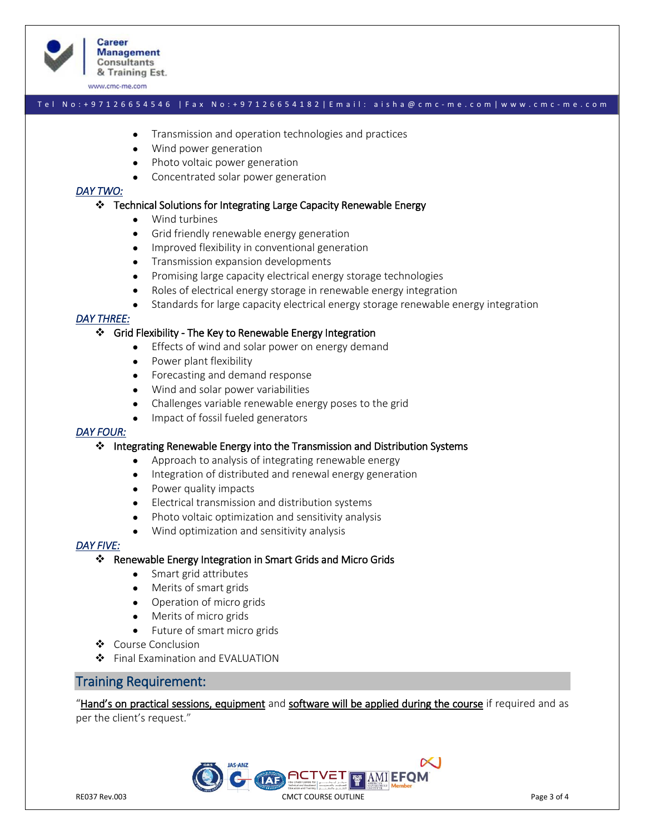

www.cmc-me.com

# T e l N o : + 9 7 1 2 6 6 5 4 5 4 6 | F a x N o : + 9 7 1 2 6 6 5 4 1 8 2 | E m a i l : a i s h a @ c m c - m e . c o m | w w w . c m c - m e . c o m

- Transmission and operation technologies and practices
- Wind power generation
- Photo voltaic power generation
- Concentrated solar power generation

# *DAY TWO:*

#### ❖ Technical Solutions for Integrating Large Capacity Renewable Energy

- Wind turbines
- Grid friendly renewable energy generation
- Improved flexibility in conventional generation
- Transmission expansion developments
- Promising large capacity electrical energy storage technologies
- Roles of electrical energy storage in renewable energy integration
- Standards for large capacity electrical energy storage renewable energy integration

## *DAY THREE:*

#### ❖ Grid Flexibility - The Key to Renewable Energy Integration

- Effects of wind and solar power on energy demand
- Power plant flexibility
- Forecasting and demand response
- Wind and solar power variabilities
- Challenges variable renewable energy poses to the grid
- Impact of fossil fueled generators

## *DAY FOUR:*

#### ❖ Integrating Renewable Energy into the Transmission and Distribution Systems

- Approach to analysis of integrating renewable energy
- Integration of distributed and renewal energy generation
- Power quality impacts
- Electrical transmission and distribution systems
- Photo voltaic optimization and sensitivity analysis
- Wind optimization and sensitivity analysis

## *DAY FIVE:*

- ❖ Renewable Energy Integration in Smart Grids and Micro Grids
	- Smart grid attributes
	- Merits of smart grids
	- Operation of micro grids
	- Merits of micro grids
	- Future of smart micro grids
- ❖ Course Conclusion
- ❖ Final Examination and EVALUATION

# Training Requirement:

"Hand's on practical sessions, equipment and software will be applied during the course if required and as per the client's request."